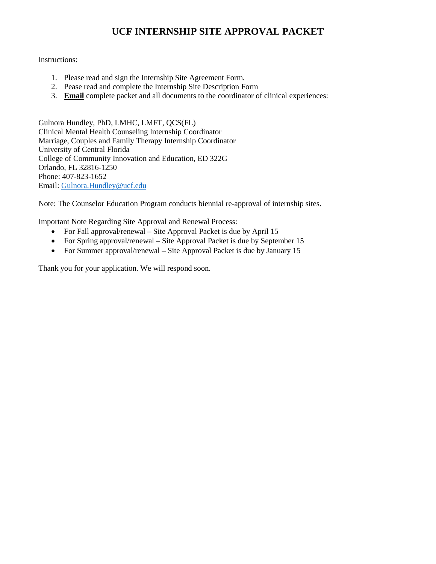# **UCF INTERNSHIP SITE APPROVAL PACKET**

### Instructions:

- 1. Please read and sign the Internship Site Agreement Form.
- 2. Pease read and complete the Internship Site Description Form
- 3. **Email** complete packet and all documents to the coordinator of clinical experiences:

Gulnora Hundley, PhD, LMHC, LMFT, QCS(FL) Clinical Mental Health Counseling Internship Coordinator Marriage, Couples and Family Therapy Internship Coordinator University of Central Florida College of Community Innovation and Education, ED 322G Orlando, FL 32816-1250 Phone: 407-823-1652 Email: [Gulnora.Hundley@ucf.edu](mailto:Gulnora.Hundley@ucf.edu)

Note: The Counselor Education Program conducts biennial re-approval of internship sites.

Important Note Regarding Site Approval and Renewal Process:

- For Fall approval/renewal Site Approval Packet is due by April 15
- For Spring approval/renewal Site Approval Packet is due by September 15
- For Summer approval/renewal Site Approval Packet is due by January 15

Thank you for your application. We will respond soon.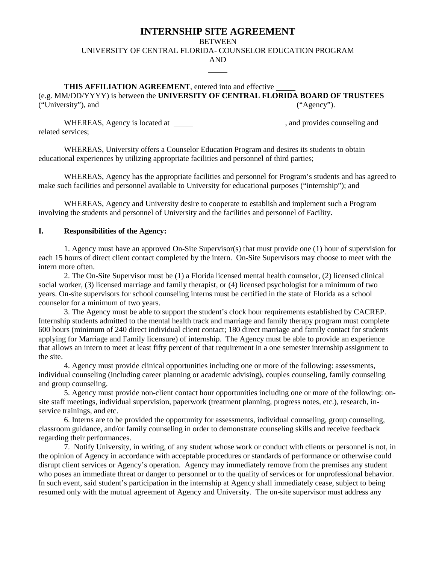# **INTERNSHIP SITE AGREEMENT**

**BETWEEN** 

UNIVERSITY OF CENTRAL FLORIDA- COUNSELOR EDUCATION PROGRAM

AND

**THIS AFFILIATION AGREEMENT**, entered into and effective (e.g. MM/DD/YYYY) is between the **UNIVERSITY OF CENTRAL FLORIDA BOARD OF TRUSTEES**  ("University"), and ("Agency").

WHEREAS, Agency is located at  $\blacksquare$ , and provides counseling and related services;

WHEREAS, University offers a Counselor Education Program and desires its students to obtain educational experiences by utilizing appropriate facilities and personnel of third parties;

WHEREAS, Agency has the appropriate facilities and personnel for Program's students and has agreed to make such facilities and personnel available to University for educational purposes ("internship"); and

WHEREAS, Agency and University desire to cooperate to establish and implement such a Program involving the students and personnel of University and the facilities and personnel of Facility.

#### **I. Responsibilities of the Agency:**

1. Agency must have an approved On-Site Supervisor(s) that must provide one (1) hour of supervision for each 15 hours of direct client contact completed by the intern. On-Site Supervisors may choose to meet with the intern more often.

2. The On-Site Supervisor must be (1) a Florida licensed mental health counselor, (2) licensed clinical social worker, (3) licensed marriage and family therapist, or (4) licensed psychologist for a minimum of two years. On-site supervisors for school counseling interns must be certified in the state of Florida as a school counselor for a minimum of two years.

3. The Agency must be able to support the student's clock hour requirements established by CACREP. Internship students admitted to the mental health track and marriage and family therapy program must complete 600 hours (minimum of 240 direct individual client contact; 180 direct marriage and family contact for students applying for Marriage and Family licensure) of internship. The Agency must be able to provide an experience that allows an intern to meet at least fifty percent of that requirement in a one semester internship assignment to the site.

4. Agency must provide clinical opportunities including one or more of the following: assessments, individual counseling (including career planning or academic advising), couples counseling, family counseling and group counseling.

5. Agency must provide non-client contact hour opportunities including one or more of the following: onsite staff meetings, individual supervision, paperwork (treatment planning, progress notes, etc.), research, inservice trainings, and etc.

6. Interns are to be provided the opportunity for assessments, individual counseling, group counseling, classroom guidance, and/or family counseling in order to demonstrate counseling skills and receive feedback regarding their performances.

7. Notify University, in writing, of any student whose work or conduct with clients or personnel is not, in the opinion of Agency in accordance with acceptable procedures or standards of performance or otherwise could disrupt client services or Agency's operation. Agency may immediately remove from the premises any student who poses an immediate threat or danger to personnel or to the quality of services or for unprofessional behavior. In such event, said student's participation in the internship at Agency shall immediately cease, subject to being resumed only with the mutual agreement of Agency and University. The on-site supervisor must address any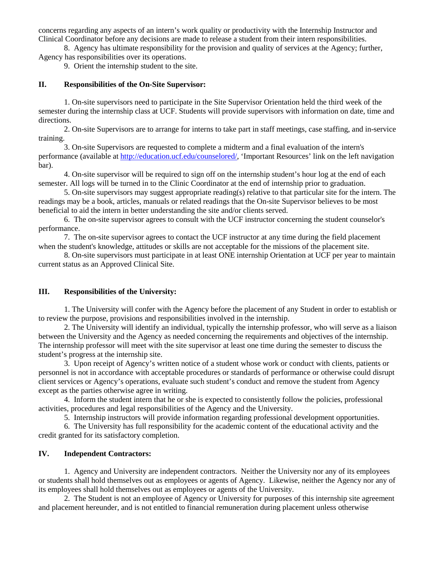concerns regarding any aspects of an intern's work quality or productivity with the Internship Instructor and Clinical Coordinator before any decisions are made to release a student from their intern responsibilities.

8. Agency has ultimate responsibility for the provision and quality of services at the Agency; further, Agency has responsibilities over its operations.

9. Orient the internship student to the site.

#### **II. Responsibilities of the On-Site Supervisor:**

1. On-site supervisors need to participate in the Site Supervisor Orientation held the third week of the semester during the internship class at UCF. Students will provide supervisors with information on date, time and directions.

2. On-site Supervisors are to arrange for interns to take part in staff meetings, case staffing, and in-service training.

3. On-site Supervisors are requested to complete a midterm and a final evaluation of the intern's performance (available at http://education.ucf.edu/counselored/, 'Important Resources' link on the left navigation bar).

4. On-site supervisor will be required to sign off on the internship student's hour log at the end of each semester. All logs will be turned in to the Clinic Coordinator at the end of internship prior to graduation.

5. On-site supervisors may suggest appropriate reading(s) relative to that particular site for the intern. The readings may be a book, articles, manuals or related readings that the On-site Supervisor believes to be most beneficial to aid the intern in better understanding the site and/or clients served.

6. The on-site supervisor agrees to consult with the UCF instructor concerning the student counselor's performance.

7. The on-site supervisor agrees to contact the UCF instructor at any time during the field placement when the student's knowledge, attitudes or skills are not acceptable for the missions of the placement site.

8. On-site supervisors must participate in at least ONE internship Orientation at UCF per year to maintain current status as an Approved Clinical Site.

#### **III. Responsibilities of the University:**

1. The University will confer with the Agency before the placement of any Student in order to establish or to review the purpose, provisions and responsibilities involved in the internship.

2. The University will identify an individual, typically the internship professor, who will serve as a liaison between the University and the Agency as needed concerning the requirements and objectives of the internship. The internship professor will meet with the site supervisor at least one time during the semester to discuss the student's progress at the internship site.

3. Upon receipt of Agency's written notice of a student whose work or conduct with clients, patients or personnel is not in accordance with acceptable procedures or standards of performance or otherwise could disrupt client services or Agency's operations, evaluate such student's conduct and remove the student from Agency except as the parties otherwise agree in writing.

4. Inform the student intern that he or she is expected to consistently follow the policies, professional activities, procedures and legal responsibilities of the Agency and the University.

5. Internship instructors will provide information regarding professional development opportunities.

6. The University has full responsibility for the academic content of the educational activity and the credit granted for its satisfactory completion.

#### **IV. Independent Contractors:**

1. Agency and University are independent contractors. Neither the University nor any of its employees or students shall hold themselves out as employees or agents of Agency. Likewise, neither the Agency nor any of its employees shall hold themselves out as employees or agents of the University.

2. The Student is not an employee of Agency or University for purposes of this internship site agreement and placement hereunder, and is not entitled to financial remuneration during placement unless otherwise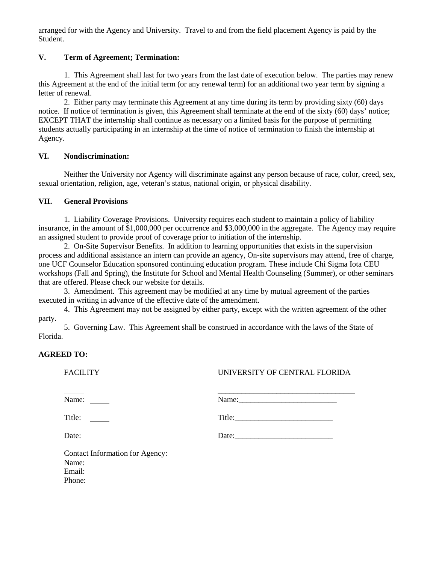arranged for with the Agency and University. Travel to and from the field placement Agency is paid by the Student.

### **V. Term of Agreement; Termination:**

1. This Agreement shall last for two years from the last date of execution below. The parties may renew this Agreement at the end of the initial term (or any renewal term) for an additional two year term by signing a letter of renewal.

2. Either party may terminate this Agreement at any time during its term by providing sixty (60) days notice. If notice of termination is given, this Agreement shall terminate at the end of the sixty (60) days' notice; EXCEPT THAT the internship shall continue as necessary on a limited basis for the purpose of permitting students actually participating in an internship at the time of notice of termination to finish the internship at Agency.

### **VI. Nondiscrimination:**

Neither the University nor Agency will discriminate against any person because of race, color, creed, sex, sexual orientation, religion, age, veteran's status, national origin, or physical disability.

### **VII. General Provisions**

1. Liability Coverage Provisions. University requires each student to maintain a policy of liability insurance, in the amount of \$1,000,000 per occurrence and \$3,000,000 in the aggregate. The Agency may require an assigned student to provide proof of coverage prior to initiation of the internship.

2. On-Site Supervisor Benefits*.* In addition to learning opportunities that exists in the supervision process and additional assistance an intern can provide an agency, On-site supervisors may attend, free of charge, one UCF Counselor Education sponsored continuing education program. These include Chi Sigma Iota CEU workshops (Fall and Spring), the Institute for School and Mental Health Counseling (Summer), or other seminars that are offered. Please check our website for details.

3. Amendment. This agreement may be modified at any time by mutual agreement of the parties executed in writing in advance of the effective date of the amendment.

4. This Agreement may not be assigned by either party, except with the written agreement of the other party.

5. Governing Law. This Agreement shall be construed in accordance with the laws of the State of Florida.

## **AGREED TO:**

## FACILITY UNIVERSITY OF CENTRAL FLORIDA

\_\_\_\_\_\_\_\_\_\_\_\_\_\_\_\_\_\_\_\_\_\_\_\_\_\_\_\_\_\_\_\_\_\_\_

Name: Name:\_\_\_\_\_\_\_\_\_\_\_\_\_\_\_\_\_\_\_\_\_\_\_\_\_

Title: Title:\_\_\_\_\_\_\_\_\_\_\_\_\_\_\_\_\_\_\_\_\_\_\_\_\_

Date: Date: Date: Date: Date: Date: Date: Date: Date: Date: Date: Date: Date: Date: Date: Date: Date: Date: Date: Date: Date: Date: Date: Date: Date: Date: Date: Date: Date: Date: Date: Date: Date: Date: Date: Date: Date:

Contact Information for Agency: Name:

Email:

Phone: